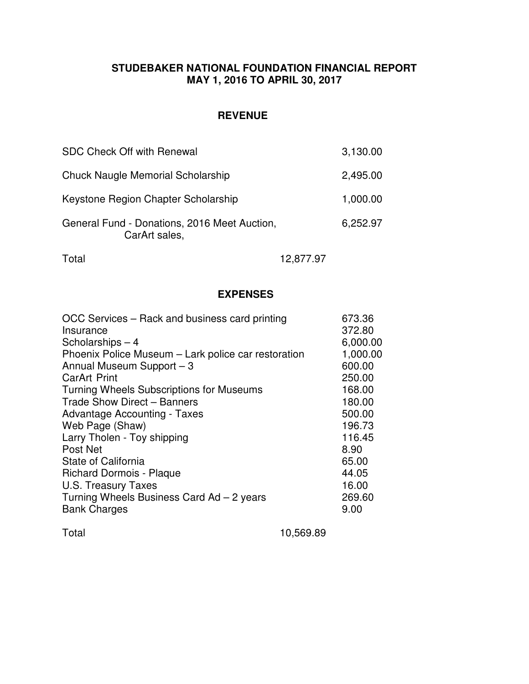### **STUDEBAKER NATIONAL FOUNDATION FINANCIAL REPORT MAY 1, 2016 TO APRIL 30, 2017**

## **REVENUE**

| <b>SDC Check Off with Renewal</b>                             | 3,130.00 |
|---------------------------------------------------------------|----------|
| <b>Chuck Naugle Memorial Scholarship</b>                      | 2,495.00 |
| Keystone Region Chapter Scholarship                           | 1,000.00 |
| General Fund - Donations, 2016 Meet Auction,<br>CarArt sales, | 6,252.97 |

Total 12,877.97

## **EXPENSES**

| OCC Services – Rack and business card printing      | 673.36   |
|-----------------------------------------------------|----------|
| Insurance                                           | 372.80   |
| Scholarships - 4                                    | 6,000.00 |
| Phoenix Police Museum - Lark police car restoration | 1,000.00 |
| Annual Museum Support - 3                           | 600.00   |
| <b>CarArt Print</b>                                 | 250.00   |
| <b>Turning Wheels Subscriptions for Museums</b>     | 168.00   |
| Trade Show Direct - Banners                         | 180.00   |
| <b>Advantage Accounting - Taxes</b>                 | 500.00   |
| Web Page (Shaw)                                     | 196.73   |
| Larry Tholen - Toy shipping                         | 116.45   |
| Post Net                                            | 8.90     |
| State of California                                 | 65.00    |
| <b>Richard Dormois - Plaque</b>                     | 44.05    |
| U.S. Treasury Taxes                                 | 16.00    |
| Turning Wheels Business Card Ad - 2 years           | 269.60   |
| <b>Bank Charges</b>                                 | 9.00     |
|                                                     |          |

Total 10,569.89